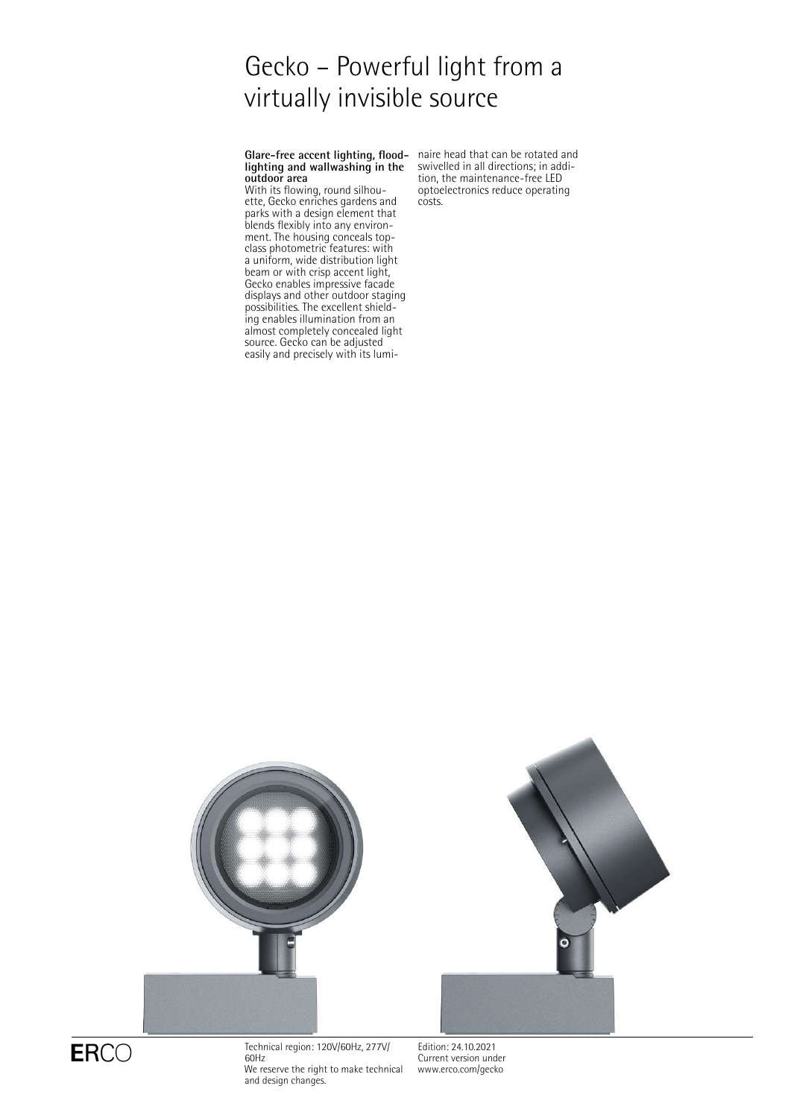# Gecko – Powerful light from a virtually invisible source

Glare-free accent lighting, flood- naire head that can be rotated and **lighting and wallwashing in the outdoor area**

With its flowing, round silhouette, Gecko enriches gardens and parks with a design element that blends flexibly into any environment. The housing conceals topclass photometric features: with a uniform, wide distribution light beam or with crisp accent light, Gecko enables impressive facade displays and other outdoor staging possibilities. The excellent shielding enables illumination from an almost completely concealed light source. Gecko can be adjusted easily and precisely with its lumiswivelled in all directions; in addition, the maintenance-free LED optoelectronics reduce operating costs.





 $ERCO$  Technical region: 120V/60Hz, 277V/ 60Hz We reserve the right to make technical and design changes.

Edition: 24.10.2021 Current version under [www.erco.com/gecko](http://www.erco.com/gecko)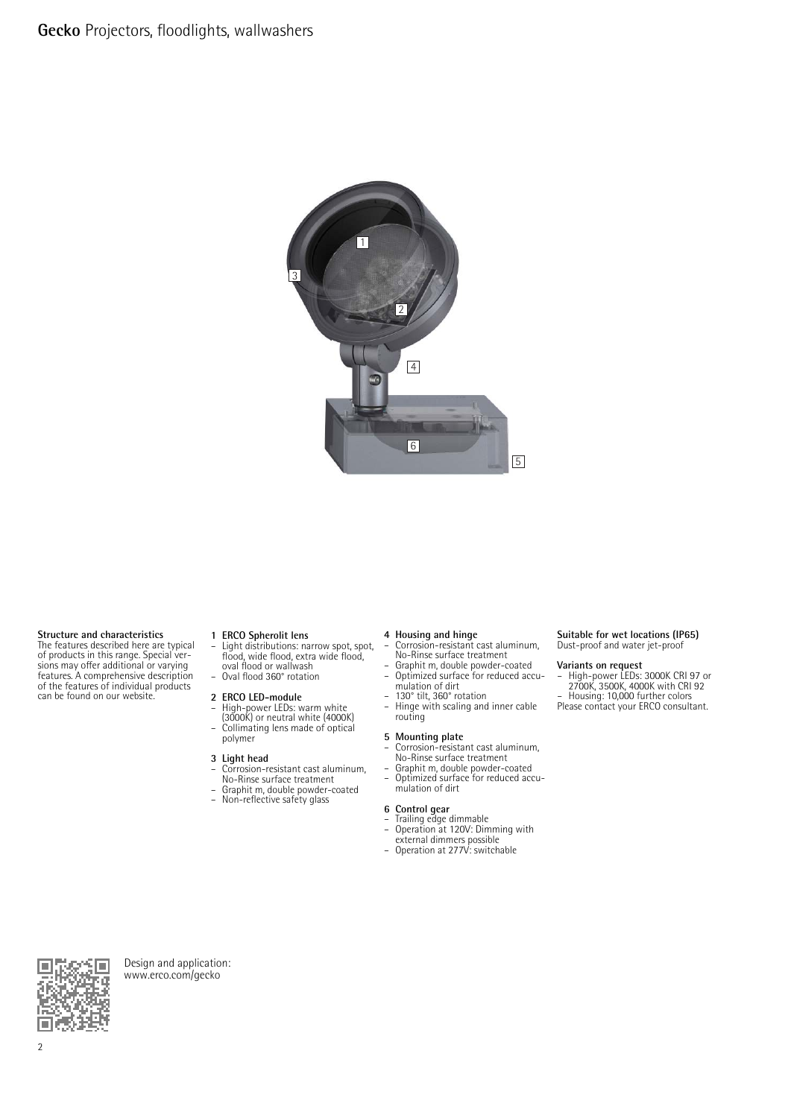

### **Structure and characteristics**

The features described here are typical of products in this range. Special ver-sions may offer additional or varying features. A comprehensive description of the features of individual products can be found on our website.

**1 ERCO Spherolit lens** – Light distributions: narrow spot, spot, flood, wide flood, extra wide flood, oval flood or wallwash – Oval flood 360° rotation

### **2 ERCO LED-module**

– High-power LEDs: warm white (3000K) or neutral white (4000K) – Collimating lens made of optical polymer

# **3 Light head**

- Corrosion-resistant cast aluminum, No-Rinse surface treatment
- Graphit m, double powder-coated<br>– Non-reflective safety glass
	- Non-reflective safety glass

- **4 Housing and hinge** Corrosion-resistant cast aluminum, No-Rinse surface treatment
- Graphit m, double powder-coated Optimized surface for reduced accu-
- mulation of dirt – 130° tilt, 360° rotation
- Hinge with scaling and inner cable routing

- **5 Mounting plate**<br>
 Corrosion-resistant cast aluminum,<br>
No-Rinse surface treatment<br>
 Graphit m, double powder-coated<br>
 Optimized surface for reduced accu-
- mulation of dirt

### **6 Control gear**

- Trailing edge dimmable
- Operation at 120V: Dimming with external dimmers possible Operation at 277V: switchable
- 

### **Suitable for wet locations (IP65)** Dust-proof and water jet-proof

- **Variants on request** High-power LEDs: 3000K CRI 97 or 2700K, 3500K, 4000K with CRI 92 Housing: 10,000 further colors
- Please contact your ERCO consultant.



Design and application: [www.erco.com/gecko](http://www.erco.com/gecko)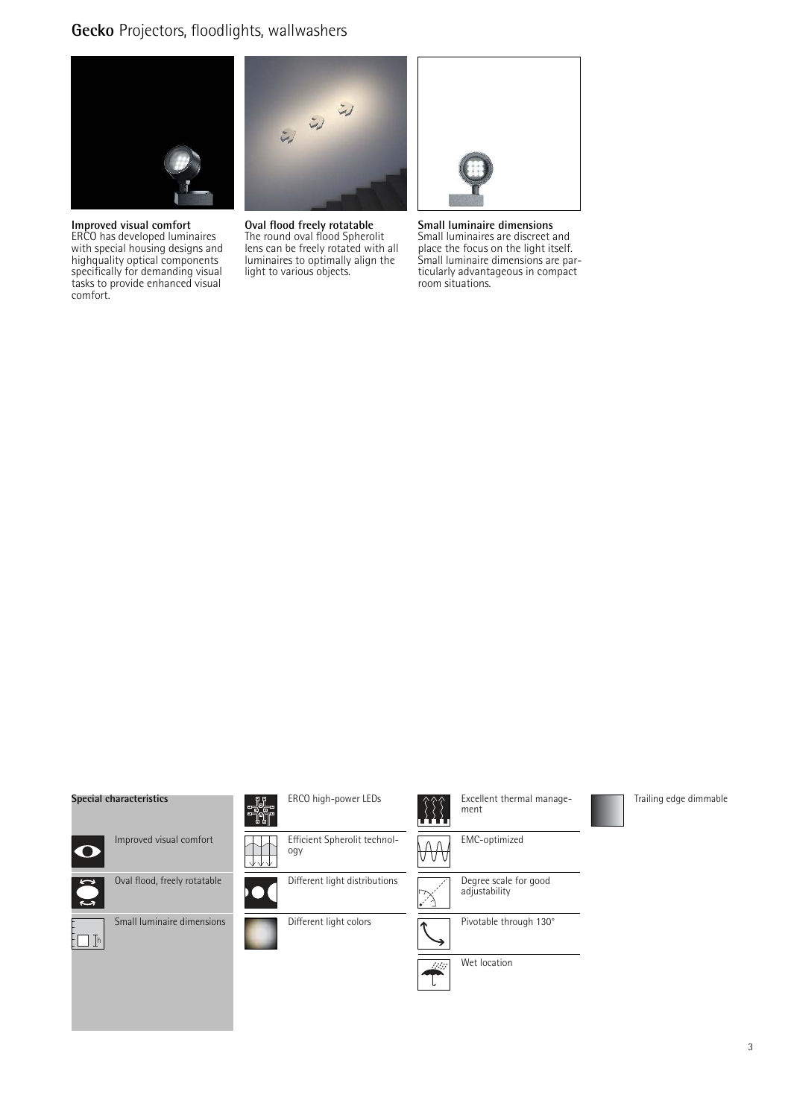# **Gecko** Projectors, floodlights, wallwashers



**Improved visual comfort** ERCO has developed luminaires with special housing designs and highquality optical components specifically for demanding visual tasks to provide enhanced visual comfort.



**Oval flood freely rotatable** The round oval flood Spherolit lens can be freely rotated with all luminaires to optimally align the light to various objects.

**Small luminaire dimensions** Small luminaires are discreet and place the focus on the light itself. Small luminaire dimensions are particularly advantageous in compact room situations.

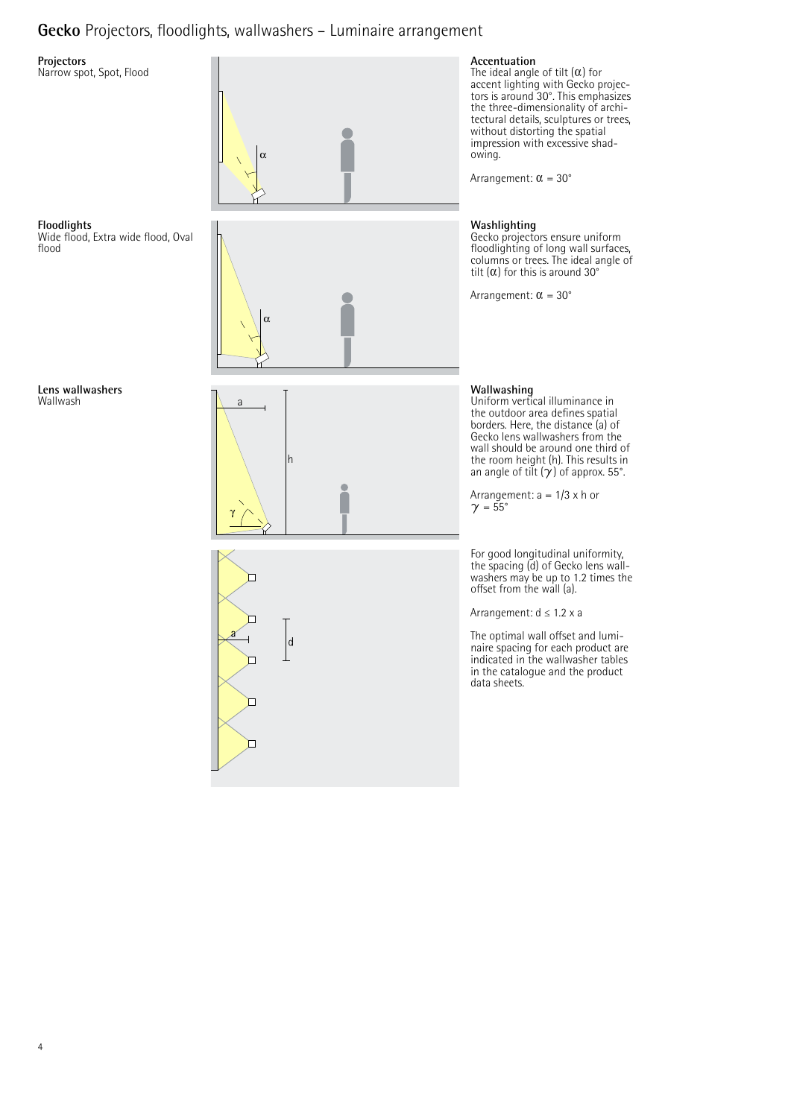# **Gecko** Projectors, floodlights, wallwashers – Luminaire arrangement

# **Projectors**

**Floodlights**

flood

Narrow spot, Spot, Flood

Wide flood, Extra wide flood, Oval









**Accentuation**<br>The ideal angle of tilt (α) for accent lighting with Gecko projec-tors is around 30°. This emphasizes the three-dimensionality of architectural details, sculptures or trees, without distorting the spatial impression with excessive shadowing.

Arrangement:  $\alpha = 30^{\circ}$ 

# **Washlighting**

Gecko projectors ensure uniform floodlighting of long wall surfaces, columns or trees. The ideal angle of tilt  $(\alpha)$  for this is around 30°

Arrangement:  $\alpha = 30^{\circ}$ 

## **Wallwashing**

Uniform vertical illuminance in the outdoor area defines spatial borders. Here, the distance (a) of Gecko lens wallwashers from the wall should be around one third of the room height (h). This results in an angle of tilt  $(\gamma)$  of approx. 55°.

Arrangement:  $a = 1/3 \times h$  or  $\gamma = 55^\circ$ 

For good longitudinal uniformity, the spacing (d) of Gecko lens wallwashers may be up to 1.2 times the offset from the wall (a).

Arrangement: d ≤ 1.2 x a

The optimal wall offset and luminaire spacing for each product are indicated in the wallwasher tables in the catalogue and the product data sheets.

**Lens wallwashers** Wallwash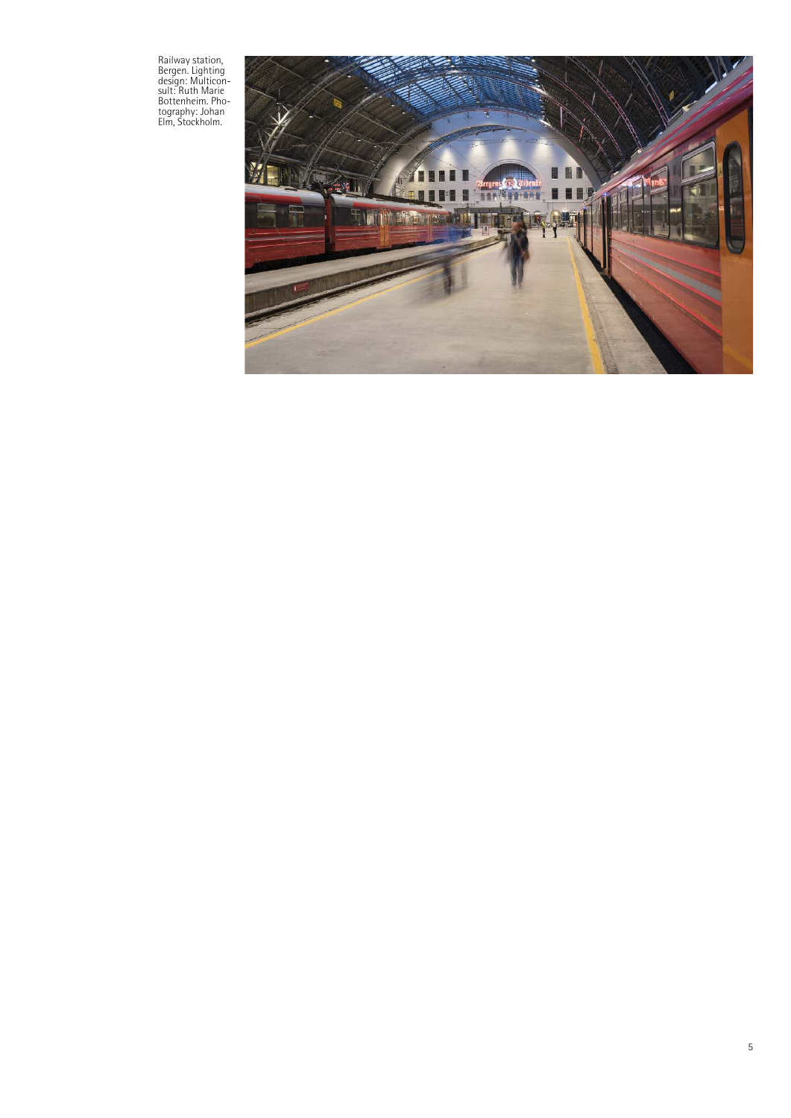Railway station,<br>Bergen. Lighting<br>design: Multicon-<br>sult: Ruth Marie<br>Bottenheim. Pho-<br>tography: Johan<br>Elm, Stockholm.

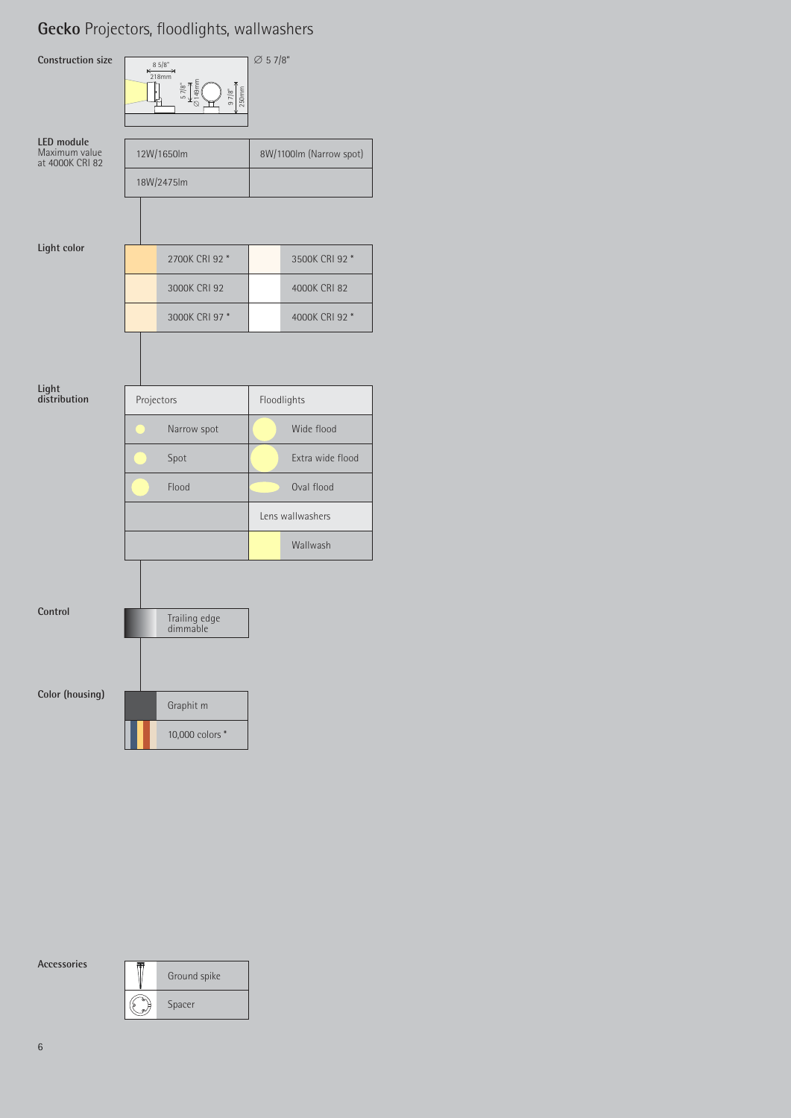# **Gecko** Projectors, floodlights, wallwashers



**Accessories**

| Ground spike |
|--------------|
| Spacer       |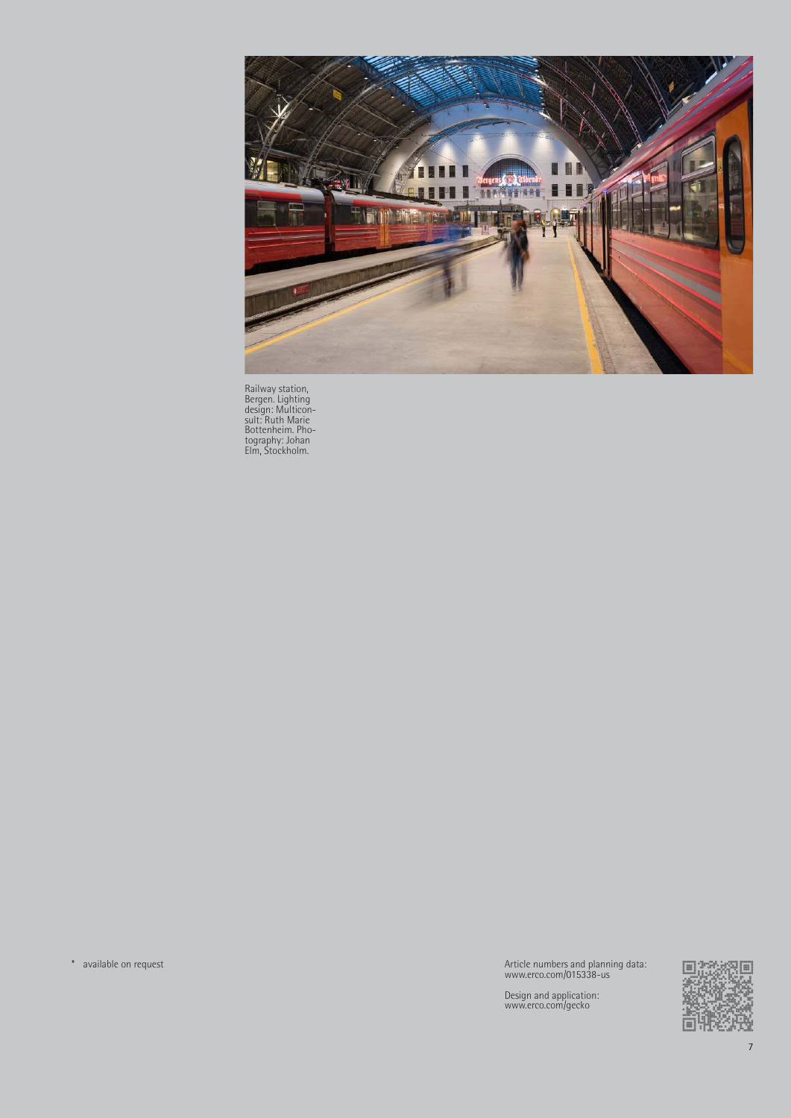

Railway station, Bergen. Lighting design: Multicon-sult: Ruth Marie Bottenheim. Pho-tography: Johan Elm, Stockholm.

\* available on request Article numbers and planning data: www.erco.com/015338-us

Design and application: www.erco.com/gecko